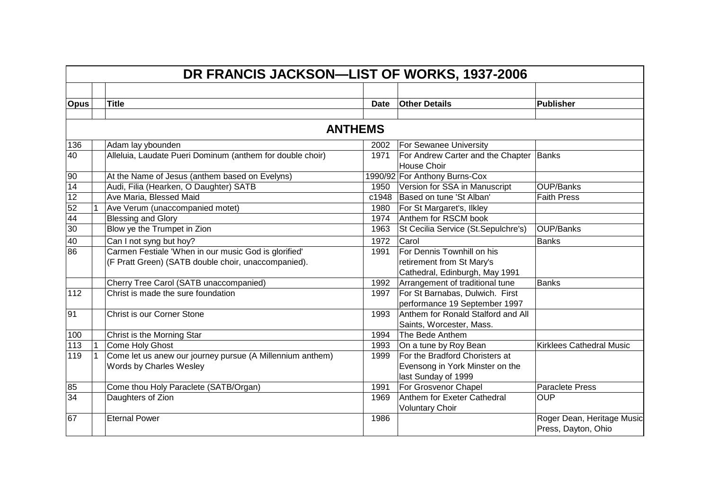|             |              | DR FRANCIS JACKSON-LIST OF WORKS, 1937-2006                                                                 |                |                                                                                           |                                                   |
|-------------|--------------|-------------------------------------------------------------------------------------------------------------|----------------|-------------------------------------------------------------------------------------------|---------------------------------------------------|
|             |              |                                                                                                             |                |                                                                                           |                                                   |
| <b>Opus</b> |              | <b>Title</b>                                                                                                | <b>Date</b>    | <b>Other Details</b>                                                                      | <b>Publisher</b>                                  |
|             |              |                                                                                                             | <b>ANTHEMS</b> |                                                                                           |                                                   |
| 136         |              | Adam lay ybounden                                                                                           | 2002           | <b>For Sewanee University</b>                                                             |                                                   |
| 40          |              | Alleluia, Laudate Pueri Dominum (anthem for double choir)                                                   | 1971           | For Andrew Carter and the Chapter<br>House Choir                                          | Banks                                             |
| 90          |              | At the Name of Jesus (anthem based on Evelyns)                                                              |                | 1990/92 For Anthony Burns-Cox                                                             |                                                   |
| 14          |              | Audi, Filia (Hearken, O Daughter) SATB                                                                      | 1950           | Version for SSA in Manuscript                                                             | OUP/Banks                                         |
| 12          |              | Ave Maria, Blessed Maid                                                                                     | c1948          | Based on tune 'St Alban'                                                                  | <b>Faith Press</b>                                |
| 52          |              | Ave Verum (unaccompanied motet)                                                                             | 1980           | For St Margaret's, Ilkley                                                                 |                                                   |
| 44          |              | <b>Blessing and Glory</b>                                                                                   | 1974           | Anthem for RSCM book                                                                      |                                                   |
| 30          |              | Blow ye the Trumpet in Zion                                                                                 | 1963           | St Cecilia Service (St.Sepulchre's)                                                       | OUP/Banks                                         |
| 40          |              | Can I not syng but hoy?                                                                                     | 1972           | Carol                                                                                     | <b>Banks</b>                                      |
| 86          |              | Carmen Festiale 'When in our music God is glorified'<br>(F Pratt Green) (SATB double choir, unaccompanied). | 1991           | For Dennis Townhill on his<br>retirement from St Mary's<br>Cathedral, Edinburgh, May 1991 |                                                   |
|             |              | Cherry Tree Carol (SATB unaccompanied)                                                                      | 1992           | Arrangement of traditional tune                                                           | <b>Banks</b>                                      |
| 112         |              | Christ is made the sure foundation                                                                          | 1997           | For St Barnabas, Dulwich. First<br>performance 19 September 1997                          |                                                   |
| 91          |              | Christ is our Corner Stone                                                                                  | 1993           | Anthem for Ronald Stalford and All<br>Saints, Worcester, Mass.                            |                                                   |
| 100         |              | Christ is the Morning Star                                                                                  | 1994           | The Bede Anthem                                                                           |                                                   |
| 113         | 1            | Come Holy Ghost                                                                                             | 1993           | On a tune by Roy Bean                                                                     | <b>Kirklees Cathedral Music</b>                   |
| 119         | $\mathbf{1}$ | Come let us anew our journey pursue (A Millennium anthem)<br>Words by Charles Wesley                        | 1999           | For the Bradford Choristers at<br>Evensong in York Minster on the<br>last Sunday of 1999  |                                                   |
| 85          |              | Come thou Holy Paraclete (SATB/Organ)                                                                       | 1991           | For Grosvenor Chapel                                                                      | <b>Paraclete Press</b>                            |
| 34          |              | Daughters of Zion                                                                                           | 1969           | Anthem for Exeter Cathedral<br><b>Voluntary Choir</b>                                     | <b>OUP</b>                                        |
| 67          |              | <b>Eternal Power</b>                                                                                        | 1986           |                                                                                           | Roger Dean, Heritage Music<br>Press, Dayton, Ohio |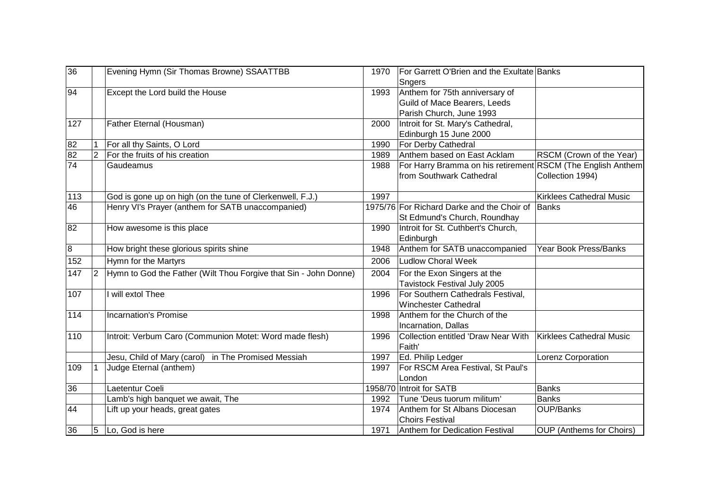| 36             |                | Evening Hymn (Sir Thomas Browne) SSAATTBB                        | 1970 | For Garrett O'Brien and the Exultate Banks<br>Sngers        |                                 |
|----------------|----------------|------------------------------------------------------------------|------|-------------------------------------------------------------|---------------------------------|
| 94             |                | Except the Lord build the House                                  | 1993 | Anthem for 75th anniversary of                              |                                 |
|                |                |                                                                  |      | Guild of Mace Bearers, Leeds                                |                                 |
|                |                |                                                                  |      | Parish Church, June 1993                                    |                                 |
| 127            |                | Father Eternal (Housman)                                         | 2000 | Introit for St. Mary's Cathedral,                           |                                 |
|                |                |                                                                  |      | Edinburgh 15 June 2000                                      |                                 |
| 82             |                | For all thy Saints, O Lord                                       | 1990 | For Derby Cathedral                                         |                                 |
| 82             | $\overline{2}$ | For the fruits of his creation                                   | 1989 | Anthem based on East Acklam                                 | RSCM (Crown of the Year)        |
| 74             |                | Gaudeamus                                                        |      |                                                             |                                 |
|                |                |                                                                  | 1988 | For Harry Bramma on his retirement RSCM (The English Anthem |                                 |
|                |                |                                                                  |      | from Southwark Cathedral                                    | Collection 1994)                |
| 113            |                | God is gone up on high (on the tune of Clerkenwell, F.J.)        | 1997 |                                                             | Kirklees Cathedral Music        |
| 46             |                | Henry VI's Prayer (anthem for SATB unaccompanied)                |      | 1975/76 For Richard Darke and the Choir of                  | Banks                           |
|                |                |                                                                  |      | St Edmund's Church, Roundhay                                |                                 |
| 82             |                | How awesome is this place                                        | 1990 | Introit for St. Cuthbert's Church,                          |                                 |
|                |                |                                                                  |      | Edinburgh                                                   |                                 |
| $\overline{8}$ |                | How bright these glorious spirits shine                          | 1948 | Anthem for SATB unaccompanied                               | Year Book Press/Banks           |
| 152            |                | Hymn for the Martyrs                                             | 2006 | Ludlow Choral Week                                          |                                 |
| 147            | $ 2\rangle$    | Hymn to God the Father (Wilt Thou Forgive that Sin - John Donne) | 2004 | For the Exon Singers at the                                 |                                 |
|                |                |                                                                  |      | Tavistock Festival July 2005                                |                                 |
| 107            |                | I will extol Thee                                                | 1996 | For Southern Cathedrals Festival,                           |                                 |
|                |                |                                                                  |      | <b>Winchester Cathedral</b>                                 |                                 |
| 114            |                | <b>Incarnation's Promise</b>                                     | 1998 | Anthem for the Church of the                                |                                 |
|                |                |                                                                  |      | Incarnation, Dallas                                         |                                 |
| 110            |                | Introit: Verbum Caro (Communion Motet: Word made flesh)          | 1996 | Collection entitled 'Draw Near With                         | Kirklees Cathedral Music        |
|                |                |                                                                  |      | Faith'                                                      |                                 |
|                |                | Jesu, Child of Mary (carol) in The Promised Messiah              | 1997 | Ed. Philip Ledger                                           | Lorenz Corporation              |
| 109            |                | Judge Eternal (anthem)                                           | 1997 | For RSCM Area Festival, St Paul's                           |                                 |
|                |                |                                                                  |      | London                                                      |                                 |
| 36             |                | Laetentur Coeli                                                  |      | 1958/70 Introit for SATB                                    | <b>Banks</b>                    |
|                |                | Lamb's high banquet we await, The                                | 1992 | Tune 'Deus tuorum militum'                                  | <b>Banks</b>                    |
| 44             |                | Lift up your heads, great gates                                  | 1974 | Anthem for St Albans Diocesan                               | OUP/Banks                       |
|                |                |                                                                  |      | <b>Choirs Festival</b>                                      |                                 |
| 36             | 5              | Lo, God is here                                                  | 1971 | Anthem for Dedication Festival                              | <b>OUP</b> (Anthems for Choirs) |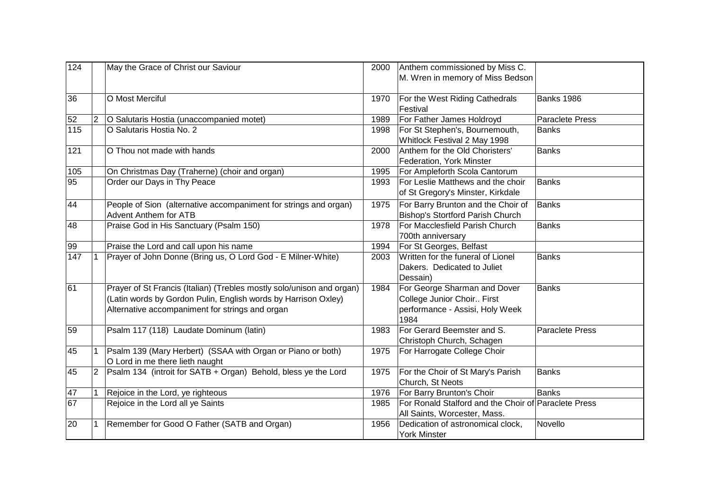| 124             |                | May the Grace of Christ our Saviour                                   | 2000 | Anthem commissioned by Miss C.                       |                        |
|-----------------|----------------|-----------------------------------------------------------------------|------|------------------------------------------------------|------------------------|
|                 |                |                                                                       |      | M. Wren in memory of Miss Bedson                     |                        |
| 36              |                | O Most Merciful                                                       | 1970 | For the West Riding Cathedrals                       | <b>Banks 1986</b>      |
|                 |                |                                                                       |      | Festival                                             |                        |
| 52              | $\overline{2}$ | O Salutaris Hostia (unaccompanied motet)                              | 1989 | For Father James Holdroyd                            | Paraclete Press        |
| 115             |                | O Salutaris Hostia No. 2                                              | 1998 | For St Stephen's, Bournemouth,                       | <b>Banks</b>           |
|                 |                |                                                                       |      | Whitlock Festival 2 May 1998                         |                        |
| 121             |                | O Thou not made with hands                                            | 2000 | Anthem for the Old Choristers'                       | <b>Banks</b>           |
|                 |                |                                                                       |      | Federation, York Minster                             |                        |
| 105             |                | On Christmas Day (Traherne) (choir and organ)                         | 1995 | For Ampleforth Scola Cantorum                        |                        |
| 95              |                | Order our Days in Thy Peace                                           | 1993 | For Leslie Matthews and the choir                    | <b>Banks</b>           |
|                 |                |                                                                       |      | of St Gregory's Minster, Kirkdale                    |                        |
| 44              |                | People of Sion (alternative accompaniment for strings and organ)      | 1975 | For Barry Brunton and the Choir of                   | Banks                  |
|                 |                | <b>Advent Anthem for ATB</b>                                          |      | Bishop's Stortford Parish Church                     |                        |
| 48              |                | Praise God in His Sanctuary (Psalm 150)                               | 1978 | For Macclesfield Parish Church                       | <b>Banks</b>           |
|                 |                |                                                                       |      | 700th anniversary                                    |                        |
| 99              |                | Praise the Lord and call upon his name                                | 1994 | For St Georges, Belfast                              |                        |
| 147             |                | Prayer of John Donne (Bring us, O Lord God - E Milner-White)          | 2003 | Written for the funeral of Lionel                    | Banks                  |
|                 |                |                                                                       |      | Dakers. Dedicated to Juliet                          |                        |
|                 |                |                                                                       |      | Dessain)                                             |                        |
| 61              |                | Prayer of St Francis (Italian) (Trebles mostly solo/unison and organ) | 1984 | For George Sharman and Dover                         | <b>Banks</b>           |
|                 |                | (Latin words by Gordon Pulin, English words by Harrison Oxley)        |      | College Junior Choir First                           |                        |
|                 |                | Alternative accompaniment for strings and organ                       |      | performance - Assisi, Holy Week                      |                        |
|                 |                |                                                                       |      | 1984                                                 |                        |
| 59              |                | Psalm 117 (118) Laudate Dominum (latin)                               | 1983 | For Gerard Beemster and S.                           | <b>Paraclete Press</b> |
|                 |                |                                                                       |      | Christoph Church, Schagen                            |                        |
| 45              |                | Psalm 139 (Mary Herbert) (SSAA with Organ or Piano or both)           | 1975 | For Harrogate College Choir                          |                        |
|                 |                | O Lord in me there lieth naught                                       |      |                                                      |                        |
| 45              | $\overline{2}$ | Psalm 134 (introit for SATB + Organ) Behold, bless ye the Lord        | 1975 | For the Choir of St Mary's Parish                    | <b>Banks</b>           |
|                 |                |                                                                       |      | Church, St Neots                                     |                        |
| 47              | $\mathbf{1}$   | Rejoice in the Lord, ye righteous                                     | 1976 | For Barry Brunton's Choir                            | Banks                  |
| $\overline{67}$ |                | Rejoice in the Lord all ye Saints                                     | 1985 | For Ronald Stalford and the Choir of Paraclete Press |                        |
|                 |                |                                                                       |      | All Saints, Worcester, Mass.                         |                        |
| 20              | $\mathbf 1$    | Remember for Good O Father (SATB and Organ)                           | 1956 | Dedication of astronomical clock,                    | Novello                |
|                 |                |                                                                       |      | <b>York Minster</b>                                  |                        |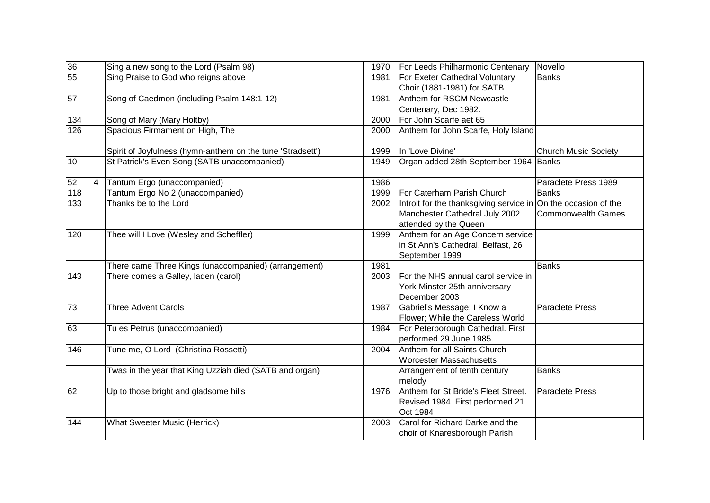| 36  |                | Sing a new song to the Lord (Psalm 98)                     | Novello<br>1970<br>For Leeds Philharmonic Centenary                                                                                                            |
|-----|----------------|------------------------------------------------------------|----------------------------------------------------------------------------------------------------------------------------------------------------------------|
| 55  |                | Sing Praise to God who reigns above                        | For Exeter Cathedral Voluntary<br><b>Banks</b><br>1981<br>Choir (1881-1981) for SATB                                                                           |
| 57  |                | Song of Caedmon (including Psalm 148:1-12)                 | Anthem for RSCM Newcastle<br>1981<br>Centenary, Dec 1982.                                                                                                      |
| 134 |                | Song of Mary (Mary Holtby)                                 | For John Scarfe aet 65<br>2000                                                                                                                                 |
| 126 |                | Spacious Firmament on High, The                            | Anthem for John Scarfe, Holy Island<br>2000                                                                                                                    |
|     |                | Spirit of Joyfulness (hymn-anthem on the tune 'Stradsett') | In 'Love Divine'<br>1999<br><b>Church Music Society</b>                                                                                                        |
| 10  |                | St Patrick's Even Song (SATB unaccompanied)                | Organ added 28th September 1964 Banks<br>1949                                                                                                                  |
| 52  | $\overline{4}$ | Tantum Ergo (unaccompanied)                                | 1986<br>Paraclete Press 1989                                                                                                                                   |
| 118 |                | Tantum Ergo No 2 (unaccompanied)                           | For Caterham Parish Church<br>1999<br>Banks                                                                                                                    |
| 133 |                | Thanks be to the Lord                                      | Introit for the thanksgiving service in On the occasion of the<br>2002<br>Manchester Cathedral July 2002<br><b>Commonwealth Games</b><br>attended by the Queen |
| 120 |                | Thee will I Love (Wesley and Scheffler)                    | Anthem for an Age Concern service<br>1999<br>in St Ann's Cathedral, Belfast, 26<br>September 1999                                                              |
|     |                | There came Three Kings (unaccompanied) (arrangement)       | 1981<br>Banks                                                                                                                                                  |
| 143 |                | There comes a Galley, laden (carol)                        | For the NHS annual carol service in<br>2003<br>York Minster 25th anniversary<br>December 2003                                                                  |
| 73  |                | <b>Three Advent Carols</b>                                 | Gabriel's Message; I Know a<br><b>Paraclete Press</b><br>1987<br>Flower; While the Careless World                                                              |
| 63  |                | Tu es Petrus (unaccompanied)                               | For Peterborough Cathedral. First<br>1984<br>performed 29 June 1985                                                                                            |
| 146 |                | Tune me, O Lord (Christina Rossetti)                       | Anthem for all Saints Church<br>2004<br><b>Worcester Massachusetts</b>                                                                                         |
|     |                | Twas in the year that King Uzziah died (SATB and organ)    | <b>Banks</b><br>Arrangement of tenth century<br>melody                                                                                                         |
| 62  |                | Up to those bright and gladsome hills                      | Anthem for St Bride's Fleet Street.<br><b>Paraclete Press</b><br>1976<br>Revised 1984. First performed 21<br>Oct 1984                                          |
| 144 |                | What Sweeter Music (Herrick)                               | Carol for Richard Darke and the<br>2003<br>choir of Knaresborough Parish                                                                                       |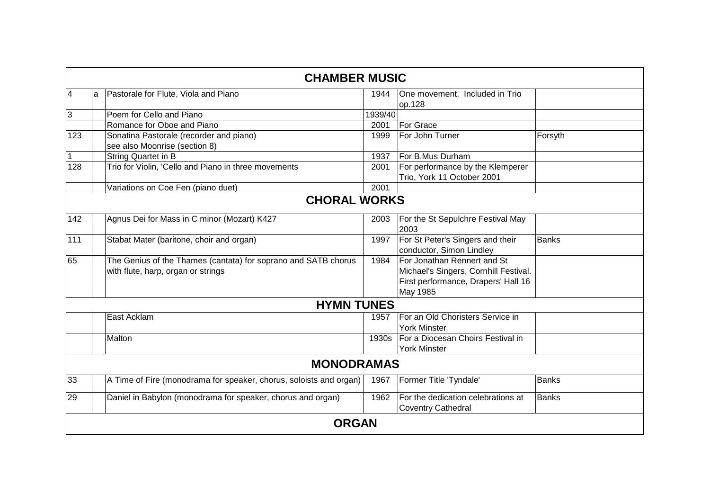|                |              | <b>CHAMBER MUSIC</b>                                                                                 |         |                                                                                                                         |              |  |  |  |
|----------------|--------------|------------------------------------------------------------------------------------------------------|---------|-------------------------------------------------------------------------------------------------------------------------|--------------|--|--|--|
| $\overline{4}$ | a            | Pastorale for Flute, Viola and Piano                                                                 | 1944    | One movement. Included in Trio<br>op.128                                                                                |              |  |  |  |
| 3              |              | Poem for Cello and Piano                                                                             | 1939/40 |                                                                                                                         |              |  |  |  |
|                |              | Romance for Oboe and Piano                                                                           | 2001    | For Grace                                                                                                               |              |  |  |  |
| 123            |              | Sonatina Pastorale (recorder and piano)<br>see also Moonrise (section 8)                             | 1999    | For John Turner                                                                                                         | Forsyth      |  |  |  |
| 1              |              | String Quartet in B                                                                                  | 1937    | For B.Mus Durham                                                                                                        |              |  |  |  |
| 128            |              | Trio for Violin, 'Cello and Piano in three movements                                                 | 2001    | For performance by the Klemperer<br>Trio, York 11 October 2001                                                          |              |  |  |  |
|                |              | Variations on Coe Fen (piano duet)                                                                   | 2001    |                                                                                                                         |              |  |  |  |
|                |              | <b>CHORAL WORKS</b>                                                                                  |         |                                                                                                                         |              |  |  |  |
| 142            |              | Agnus Dei for Mass in C minor (Mozart) K427                                                          | 2003    | For the St Sepulchre Festival May<br>2003                                                                               |              |  |  |  |
| 111            |              | Stabat Mater (baritone, choir and organ)                                                             | 1997    | For St Peter's Singers and their<br>conductor, Simon Lindley                                                            | <b>Banks</b> |  |  |  |
| 65             |              | The Genius of the Thames (cantata) for soprano and SATB chorus<br>with flute, harp, organ or strings | 1984    | For Jonathan Rennert and St<br>Michael's Singers, Cornhill Festival.<br>First performance, Drapers' Hall 16<br>May 1985 |              |  |  |  |
|                |              | <b>HYMN TUNES</b>                                                                                    |         |                                                                                                                         |              |  |  |  |
|                |              | East Acklam                                                                                          | 1957    | For an Old Choristers Service in<br><b>York Minster</b>                                                                 |              |  |  |  |
|                |              | Malton                                                                                               | 1930s   | For a Diocesan Choirs Festival in<br><b>York Minster</b>                                                                |              |  |  |  |
|                |              | <b>MONODRAMAS</b>                                                                                    |         |                                                                                                                         |              |  |  |  |
| 33             |              | A Time of Fire (monodrama for speaker, chorus, soloists and organ)                                   | 1967    | Former Title 'Tyndale'                                                                                                  | <b>Banks</b> |  |  |  |
| 29             |              | Daniel in Babylon (monodrama for speaker, chorus and organ)                                          | 1962    | For the dedication celebrations at<br><b>Coventry Cathedral</b>                                                         | Banks        |  |  |  |
|                | <b>ORGAN</b> |                                                                                                      |         |                                                                                                                         |              |  |  |  |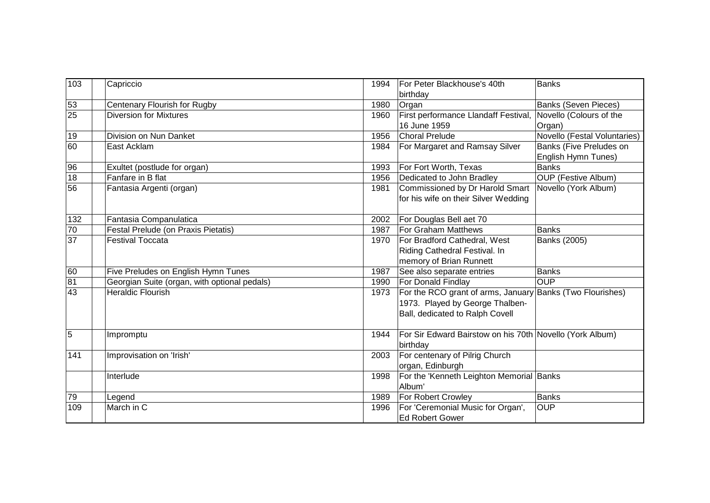| 103             | Capriccio                                    | For Peter Blackhouse's 40th<br>Banks<br>1994<br>birthday                                                                                |
|-----------------|----------------------------------------------|-----------------------------------------------------------------------------------------------------------------------------------------|
| 53              | Centenary Flourish for Rugby                 | 1980<br><b>Banks (Seven Pieces)</b><br>Organ                                                                                            |
| 25              | <b>Diversion for Mixtures</b>                | First performance Llandaff Festival,<br>Novello (Colours of the<br>1960                                                                 |
|                 |                                              | 16 June 1959<br>Organ)                                                                                                                  |
| 19              | Division on Nun Danket                       | Novello (Festal Voluntaries)<br>1956<br><b>Choral Prelude</b>                                                                           |
| 60              | East Acklam                                  | For Margaret and Ramsay Silver<br>Banks (Five Preludes on<br>1984                                                                       |
|                 |                                              | English Hymn Tunes)                                                                                                                     |
| 96              | Exultet (postlude for organ)                 | For Fort Worth, Texas<br>Banks<br>1993                                                                                                  |
| 18              | Fanfare in B flat                            | Dedicated to John Bradley<br><b>OUP</b> (Festive Album)<br>1956                                                                         |
| 56              | Fantasia Argenti (organ)                     | Commissioned by Dr Harold Smart<br>Novello (York Album)<br>1981<br>for his wife on their Silver Wedding                                 |
| 132             | Fantasia Companulatica                       | For Douglas Bell aet 70<br>2002                                                                                                         |
| 70              | Festal Prelude (on Praxis Pietatis)          | For Graham Matthews<br>Banks<br>1987                                                                                                    |
| $\overline{37}$ | <b>Festival Toccata</b>                      | For Bradford Cathedral, West<br>Banks (2005)<br>1970<br>Riding Cathedral Festival. In<br>memory of Brian Runnett                        |
| 60              | Five Preludes on English Hymn Tunes          | See also separate entries<br>Banks<br>1987                                                                                              |
| 81              | Georgian Suite (organ, with optional pedals) | <b>OUP</b><br>For Donald Findlay<br>1990                                                                                                |
| 43              | <b>Heraldic Flourish</b>                     | For the RCO grant of arms, January Banks (Two Flourishes)<br>1973<br>1973. Played by George Thalben-<br>Ball, dedicated to Ralph Covell |
| 5               | Impromptu                                    | For Sir Edward Bairstow on his 70th Novello (York Album)<br>1944<br>birthday                                                            |
| 141             | Improvisation on 'Irish'                     | For centenary of Pilrig Church<br>2003<br>organ, Edinburgh                                                                              |
|                 | Interlude                                    | For the 'Kenneth Leighton Memorial Banks<br>1998<br>Album'                                                                              |
| 79              | Legend                                       | For Robert Crowley<br>1989<br>Banks                                                                                                     |
| 109             | March in C                                   | For 'Ceremonial Music for Organ',<br>OUP<br>1996<br><b>Ed Robert Gower</b>                                                              |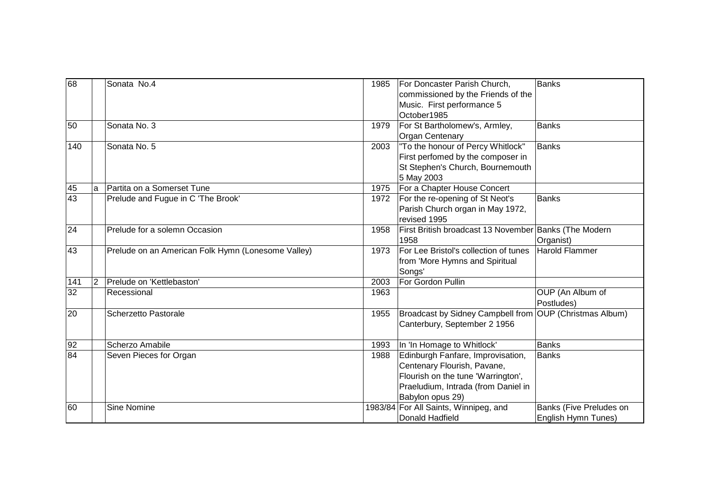| 68  |             | Sonata No.4                                        | 1985 | For Doncaster Parish Church,<br>commissioned by the Friends of the<br>Music. First performance 5<br>October1985                                                   | Banks                                          |
|-----|-------------|----------------------------------------------------|------|-------------------------------------------------------------------------------------------------------------------------------------------------------------------|------------------------------------------------|
| 50  |             | Sonata No. 3                                       | 1979 | For St Bartholomew's, Armley,<br>Organ Centenary                                                                                                                  | Banks                                          |
| 140 |             | Sonata No. 5                                       | 2003 | "To the honour of Percy Whitlock"<br>First perfomed by the composer in<br>St Stephen's Church, Bournemouth<br>5 May 2003                                          | Banks                                          |
| 45  | la          | Partita on a Somerset Tune                         | 1975 | For a Chapter House Concert                                                                                                                                       |                                                |
| 43  |             | Prelude and Fugue in C 'The Brook'                 | 1972 | For the re-opening of St Neot's<br>Parish Church organ in May 1972,<br>revised 1995                                                                               | <b>Banks</b>                                   |
| 24  |             | Prelude for a solemn Occasion                      | 1958 | First British broadcast 13 November Banks (The Modern<br>1958                                                                                                     | Organist)                                      |
| 43  |             | Prelude on an American Folk Hymn (Lonesome Valley) | 1973 | For Lee Bristol's collection of tunes<br>from 'More Hymns and Spiritual<br>Songs'                                                                                 | Harold Flammer                                 |
| 141 | $ 2\rangle$ | Prelude on 'Kettlebaston'                          | 2003 | For Gordon Pullin                                                                                                                                                 |                                                |
| 32  |             | Recessional                                        | 1963 |                                                                                                                                                                   | OUP (An Album of<br>Postludes)                 |
| 20  |             | Scherzetto Pastorale                               | 1955 | Broadcast by Sidney Campbell from OUP (Christmas Album)<br>Canterbury, September 2 1956                                                                           |                                                |
| 92  |             | Scherzo Amabile                                    | 1993 | In 'In Homage to Whitlock'                                                                                                                                        | Banks                                          |
| 84  |             | Seven Pieces for Organ                             | 1988 | Edinburgh Fanfare, Improvisation,<br>Centenary Flourish, Pavane,<br>Flourish on the tune 'Warrington',<br>Praeludium, Intrada (from Daniel in<br>Babylon opus 29) | Banks                                          |
| 60  |             | <b>Sine Nomine</b>                                 |      | 1983/84 For All Saints, Winnipeg, and<br>Donald Hadfield                                                                                                          | Banks (Five Preludes on<br>English Hymn Tunes) |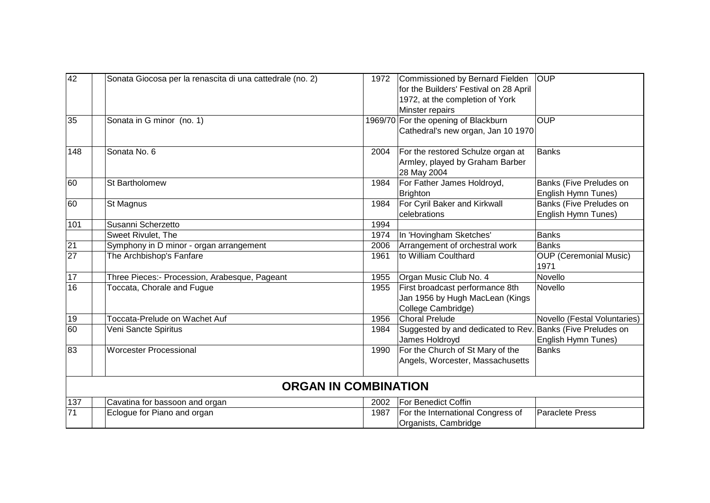| 42              | Sonata Giocosa per la renascita di una cattedrale (no. 2) | 1972 | Commissioned by Bernard Fielden<br>for the Builders' Festival on 28 April<br>1972, at the completion of York | <b>OUP</b>                                     |
|-----------------|-----------------------------------------------------------|------|--------------------------------------------------------------------------------------------------------------|------------------------------------------------|
|                 |                                                           |      | Minster repairs                                                                                              |                                                |
| 35              | Sonata in G minor (no. 1)                                 |      | 1969/70 For the opening of Blackburn<br>Cathedral's new organ, Jan 10 1970                                   | <b>OUP</b>                                     |
| 148             | Sonata No. 6                                              | 2004 | For the restored Schulze organ at<br>Armley, played by Graham Barber<br>28 May 2004                          | <b>Banks</b>                                   |
| 60              | St Bartholomew                                            | 1984 | For Father James Holdroyd,<br><b>Brighton</b>                                                                | Banks (Five Preludes on<br>English Hymn Tunes) |
| 60              | St Magnus                                                 | 1984 | For Cyril Baker and Kirkwall<br>celebrations                                                                 | Banks (Five Preludes on<br>English Hymn Tunes) |
| 101             | Susanni Scherzetto                                        | 1994 |                                                                                                              |                                                |
|                 | Sweet Rivulet, The                                        | 1974 | In 'Hovingham Sketches'                                                                                      | <b>Banks</b>                                   |
| 21              | Symphony in D minor - organ arrangement                   | 2006 | Arrangement of orchestral work                                                                               | <b>Banks</b>                                   |
| 27              | The Archbishop's Fanfare                                  | 1961 | to William Coulthard                                                                                         | <b>OUP (Ceremonial Music)</b><br>1971          |
| $\overline{17}$ | Three Pieces:- Procession, Arabesque, Pageant             | 1955 | Organ Music Club No. 4                                                                                       | Novello                                        |
| $\overline{16}$ | Toccata, Chorale and Fugue                                | 1955 | First broadcast performance 8th<br>Jan 1956 by Hugh MacLean (Kings<br>College Cambridge)                     | Novello                                        |
| 19              | Toccata-Prelude on Wachet Auf                             | 1956 | Choral Prelude                                                                                               | Novello (Festal Voluntaries)                   |
| 60              | Veni Sancte Spiritus                                      | 1984 | Suggested by and dedicated to Rev. Banks (Five Preludes on<br>James Holdroyd                                 | English Hymn Tunes)                            |
| 83              | <b>Worcester Processional</b>                             | 1990 | For the Church of St Mary of the<br>Angels, Worcester, Massachusetts                                         | <b>Banks</b>                                   |
|                 | <b>ORGAN IN COMBINATION</b>                               |      |                                                                                                              |                                                |
| 137             | Cavatina for bassoon and organ                            | 2002 | <b>For Benedict Coffin</b>                                                                                   |                                                |
| 71              | Eclogue for Piano and organ                               | 1987 | For the International Congress of<br>Organists, Cambridge                                                    | <b>Paraclete Press</b>                         |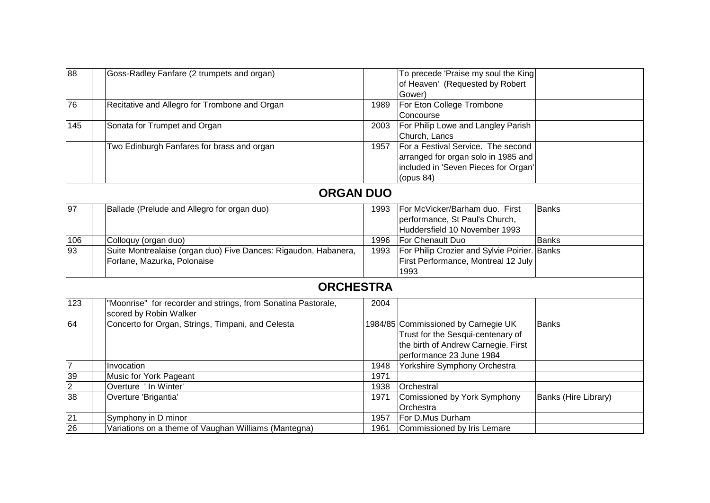| 88             | Goss-Radley Fanfare (2 trumpets and organ)                      |      | To precede 'Praise my soul the King          |                      |
|----------------|-----------------------------------------------------------------|------|----------------------------------------------|----------------------|
|                |                                                                 |      | of Heaven' (Requested by Robert              |                      |
|                |                                                                 |      | Gower)                                       |                      |
| 76             | Recitative and Allegro for Trombone and Organ                   | 1989 | For Eton College Trombone                    |                      |
|                |                                                                 |      | Concourse                                    |                      |
| 145            | Sonata for Trumpet and Organ                                    | 2003 | For Philip Lowe and Langley Parish           |                      |
|                |                                                                 |      | Church, Lancs                                |                      |
|                | Two Edinburgh Fanfares for brass and organ                      | 1957 | For a Festival Service. The second           |                      |
|                |                                                                 |      | arranged for organ solo in 1985 and          |                      |
|                |                                                                 |      | included in 'Seven Pieces for Organ'         |                      |
|                |                                                                 |      | (opus 84)                                    |                      |
|                | <b>ORGAN DUO</b>                                                |      |                                              |                      |
| 97             | Ballade (Prelude and Allegro for organ duo)                     | 1993 | For McVicker/Barham duo. First               | <b>Banks</b>         |
|                |                                                                 |      | performance, St Paul's Church,               |                      |
|                |                                                                 |      | Huddersfield 10 November 1993                |                      |
| 106            | Colloquy (organ duo)                                            | 1996 | For Chenault Duo                             | <b>Banks</b>         |
| 93             | Suite Montrealaise (organ duo) Five Dances: Rigaudon, Habanera, | 1993 | For Philip Crozier and Sylvie Poirier. Banks |                      |
|                | Forlane, Mazurka, Polonaise                                     |      | First Performance, Montreal 12 July          |                      |
|                |                                                                 |      | 1993                                         |                      |
|                | <b>ORCHESTRA</b>                                                |      |                                              |                      |
| 123            | "Moonrise" for recorder and strings, from Sonatina Pastorale,   | 2004 |                                              |                      |
|                | scored by Robin Walker                                          |      |                                              |                      |
| 64             | Concerto for Organ, Strings, Timpani, and Celesta               |      | 1984/85 Commissioned by Carnegie UK          | <b>Banks</b>         |
|                |                                                                 |      | Trust for the Sesqui-centenary of            |                      |
|                |                                                                 |      | the birth of Andrew Carnegie. First          |                      |
|                |                                                                 |      | performance 23 June 1984                     |                      |
| $\overline{7}$ | Invocation                                                      | 1948 | Yorkshire Symphony Orchestra                 |                      |
| 39             | Music for York Pageant                                          | 1971 |                                              |                      |
| $\overline{2}$ | Overture ' In Winter'                                           | 1938 | Orchestral                                   |                      |
| 38             | Overture 'Brigantia'                                            | 1971 | Comissioned by York Symphony                 | Banks (Hire Library) |
|                |                                                                 |      | Orchestra                                    |                      |
| 21             | Symphony in D minor                                             | 1957 | For D.Mus Durham                             |                      |
| 26             | Variations on a theme of Vaughan Williams (Mantegna)            | 1961 | Commissioned by Iris Lemare                  |                      |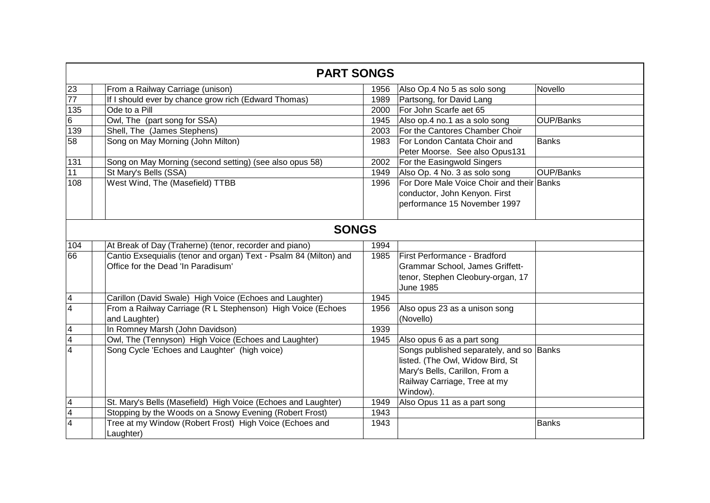|                          | <b>PART SONGS</b>                                                            |      |                                                                                                                                                            |              |  |  |
|--------------------------|------------------------------------------------------------------------------|------|------------------------------------------------------------------------------------------------------------------------------------------------------------|--------------|--|--|
| 23                       | From a Railway Carriage (unison)                                             | 1956 | Also Op.4 No 5 as solo song                                                                                                                                | Novello      |  |  |
| $\overline{77}$          | If I should ever by chance grow rich (Edward Thomas)                         | 1989 | Partsong, for David Lang                                                                                                                                   |              |  |  |
| 135                      | Ode to a Pill                                                                | 2000 | For John Scarfe aet 65                                                                                                                                     |              |  |  |
| $6\phantom{.}$           | Owl, The (part song for SSA)                                                 | 1945 | Also op.4 no.1 as a solo song                                                                                                                              | OUP/Banks    |  |  |
| 139                      | Shell, The (James Stephens)                                                  | 2003 | For the Cantores Chamber Choir                                                                                                                             |              |  |  |
| 58                       | Song on May Morning (John Milton)                                            | 1983 | For London Cantata Choir and<br>Peter Moorse. See also Opus131                                                                                             | <b>Banks</b> |  |  |
| 131                      | Song on May Morning (second setting) (see also opus 58)                      | 2002 | For the Easingwold Singers                                                                                                                                 |              |  |  |
| 11                       | St Mary's Bells (SSA)                                                        | 1949 | Also Op. 4 No. 3 as solo song                                                                                                                              | OUP/Banks    |  |  |
| 108                      | West Wind, The (Masefield) TTBB                                              | 1996 | For Dore Male Voice Choir and their Banks                                                                                                                  |              |  |  |
|                          |                                                                              |      | conductor, John Kenyon. First                                                                                                                              |              |  |  |
|                          |                                                                              |      | performance 15 November 1997                                                                                                                               |              |  |  |
|                          | <b>SONGS</b>                                                                 |      |                                                                                                                                                            |              |  |  |
| 104                      | At Break of Day (Traherne) (tenor, recorder and piano)                       | 1994 |                                                                                                                                                            |              |  |  |
| 66                       | Cantio Exsequialis (tenor and organ) Text - Psalm 84 (Milton) and            | 1985 | First Performance - Bradford                                                                                                                               |              |  |  |
|                          | Office for the Dead 'In Paradisum'                                           |      | Grammar School, James Griffett-                                                                                                                            |              |  |  |
|                          |                                                                              |      | tenor, Stephen Cleobury-organ, 17<br><b>June 1985</b>                                                                                                      |              |  |  |
| $\overline{\mathbf{4}}$  | Carillon (David Swale) High Voice (Echoes and Laughter)                      | 1945 |                                                                                                                                                            |              |  |  |
| $\overline{\mathbf{4}}$  | From a Railway Carriage (R L Stephenson) High Voice (Echoes<br>and Laughter) | 1956 | Also opus 23 as a unison song<br>(Novello)                                                                                                                 |              |  |  |
| $\overline{\mathcal{A}}$ | In Romney Marsh (John Davidson)                                              | 1939 |                                                                                                                                                            |              |  |  |
| $\overline{\mathcal{A}}$ | Owl, The (Tennyson) High Voice (Echoes and Laughter)                         | 1945 | Also opus 6 as a part song                                                                                                                                 |              |  |  |
| $\overline{4}$           | Song Cycle 'Echoes and Laughter' (high voice)                                |      | Songs published separately, and so Banks<br>listed. (The Owl, Widow Bird, St<br>Mary's Bells, Carillon, From a<br>Railway Carriage, Tree at my<br>Window). |              |  |  |
| $\overline{\mathbf{4}}$  | St. Mary's Bells (Masefield) High Voice (Echoes and Laughter)                | 1949 | Also Opus 11 as a part song                                                                                                                                |              |  |  |
| $\overline{\mathbf{4}}$  | Stopping by the Woods on a Snowy Evening (Robert Frost)                      | 1943 |                                                                                                                                                            |              |  |  |
| $\overline{4}$           | Tree at my Window (Robert Frost) High Voice (Echoes and<br>Laughter)         | 1943 |                                                                                                                                                            | Banks        |  |  |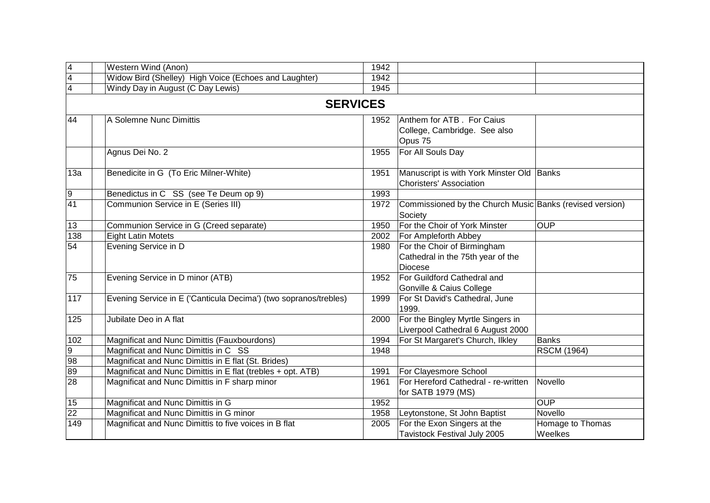| $\overline{\mathbf{4}}$ | Western Wind (Anon)                                              | 1942            |                                                                                    |                             |
|-------------------------|------------------------------------------------------------------|-----------------|------------------------------------------------------------------------------------|-----------------------------|
| $\overline{\mathbf{4}}$ | Widow Bird (Shelley) High Voice (Echoes and Laughter)            | 1942            |                                                                                    |                             |
| $\overline{\mathbf{4}}$ | Windy Day in August (C Day Lewis)                                | 1945            |                                                                                    |                             |
|                         |                                                                  | <b>SERVICES</b> |                                                                                    |                             |
| 44                      | A Solemne Nunc Dimittis                                          | 1952            | Anthem for ATB. For Caius<br>College, Cambridge. See also<br>Opus 75               |                             |
|                         | Agnus Dei No. 2                                                  | 1955            | For All Souls Day                                                                  |                             |
| 13a                     | Benedicite in G (To Eric Milner-White)                           | 1951            | Manuscript is with York Minster Old Banks<br><b>Choristers' Association</b>        |                             |
| 9                       | Benedictus in C SS (see Te Deum op 9)                            | 1993            |                                                                                    |                             |
| 41                      | Communion Service in E (Series III)                              | 1972            | Commissioned by the Church Music Banks (revised version)<br>Society                |                             |
| 13                      | Communion Service in G (Creed separate)                          | 1950            | For the Choir of York Minster                                                      | <b>OUP</b>                  |
| 138                     | <b>Eight Latin Motets</b>                                        | 2002            | For Ampleforth Abbey                                                               |                             |
| 54                      | Evening Service in D                                             | 1980            | For the Choir of Birmingham<br>Cathedral in the 75th year of the<br><b>Diocese</b> |                             |
| 75                      | Evening Service in D minor (ATB)                                 | 1952            | For Guildford Cathedral and<br>Gonville & Caius College                            |                             |
| 117                     | Evening Service in E ('Canticula Decima') (two sopranos/trebles) | 1999            | For St David's Cathedral, June<br>1999.                                            |                             |
| 125                     | Jubilate Deo in A flat                                           | 2000            | For the Bingley Myrtle Singers in<br>Liverpool Cathedral 6 August 2000             |                             |
| 102                     | Magnificat and Nunc Dimittis (Fauxbourdons)                      | 1994            | For St Margaret's Church, Ilkley                                                   | <b>Banks</b>                |
| $\boldsymbol{9}$        | Magnificat and Nunc Dimittis in C SS                             | 1948            |                                                                                    | <b>RSCM (1964)</b>          |
| 98                      | Magnificat and Nunc Dimittis in E flat (St. Brides)              |                 |                                                                                    |                             |
| 89                      | Magnificat and Nunc Dimittis in E flat (trebles + opt. ATB)      | 1991            | For Clayesmore School                                                              |                             |
| $\overline{28}$         | Magnificat and Nunc Dimittis in F sharp minor                    | 1961            | For Hereford Cathedral - re-written<br>for SATB 1979 (MS)                          | Novello                     |
| 15                      | Magnificat and Nunc Dimittis in G                                | 1952            |                                                                                    | <b>OUP</b>                  |
| $\overline{22}$         | Magnificat and Nunc Dimittis in G minor                          | 1958            | Leytonstone, St John Baptist                                                       | Novello                     |
| 149                     | Magnificat and Nunc Dimittis to five voices in B flat            | 2005            | For the Exon Singers at the<br>Tavistock Festival July 2005                        | Homage to Thomas<br>Weelkes |